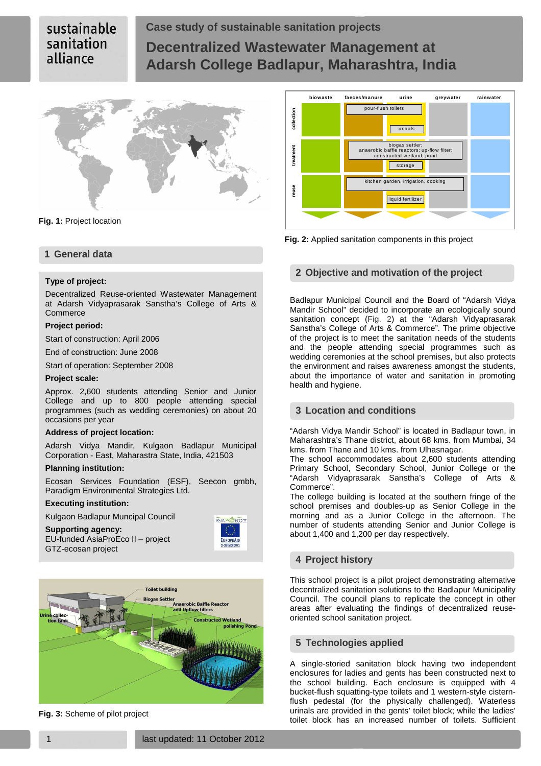# sustainable sanitation alliance

# **Case study of sustainable sanitation projects Decentralized Wastewater Management at Adarsh College Badlapur, Maharashtra, India**



**Fig. 1:** Project location

# **1 General data**

### **Type of project:**

Decentralized Reuse-oriented Wastewater Management at Adarsh Vidyaprasarak Sanstha's College of Arts & Commerce

### **Project period:**

Start of construction: April 2006

End of construction: June 2008

Start of operation: September 2008

#### **Project scale:**

Approx. 2,600 students attending Senior and Junior College and up to 800 people attending special programmes (such as wedding ceremonies) on about 20 occasions per year

#### **Address of project location:**

Adarsh Vidya Mandir, Kulgaon Badlapur Municipal Corporation - East, Maharastra State, India, 421503

### **Planning institution:**

Ecosan Services Foundation (ESF), Seecon gmbh, Paradigm Environmental Strategies Ltd.

## **Executing institution:**

GTZ-ecosan project

Kulgaon Badlapur Muncipal Council

**Supporting agency:**  EU-funded AsiaProEco II – project





**Fig. 3:** Scheme of pilot project



**Fig. 2:** Applied sanitation components in this project

### **2 Objective and motivation of the project**

Badlapur Municipal Council and the Board of "Adarsh Vidya Mandir School" decided to incorporate an ecologically sound sanitation concept (Fig. 2) at the "Adarsh Vidyaprasarak Sanstha's College of Arts & Commerce". The prime objective of the project is to meet the sanitation needs of the students and the people attending special programmes such as wedding ceremonies at the school premises, but also protects the environment and raises awareness amongst the students, about the importance of water and sanitation in promoting health and hygiene.

## **3 Location and conditions**

"Adarsh Vidya Mandir School" is located in Badlapur town, in Maharashtra's Thane district, about 68 kms. from Mumbai, 34 kms. from Thane and 10 kms. from Ulhasnagar.

The school accommodates about 2,600 students attending Primary School, Secondary School, Junior College or the "Adarsh Vidyaprasarak Sanstha's College of Arts & Commerce".

The college building is located at the southern fringe of the school premises and doubles-up as Senior College in the morning and as a Junior College in the afternoon. The number of students attending Senior and Junior College is about 1,400 and 1,200 per day respectively.

## **4 Project history**

This school project is a pilot project demonstrating alternative decentralized sanitation solutions to the Badlapur Municipality Council. The council plans to replicate the concept in other areas after evaluating the findings of decentralized reuseoriented school sanitation project.

## **5 Technologies applied**

A single-storied sanitation block having two independent enclosures for ladies and gents has been constructed next to the school building. Each enclosure is equipped with 4 bucket-flush squatting-type toilets and 1 western-style cisternflush pedestal (for the physically challenged). Waterless urinals are provided in the gents' toilet block; while the ladies' toilet block has an increased number of toilets. Sufficient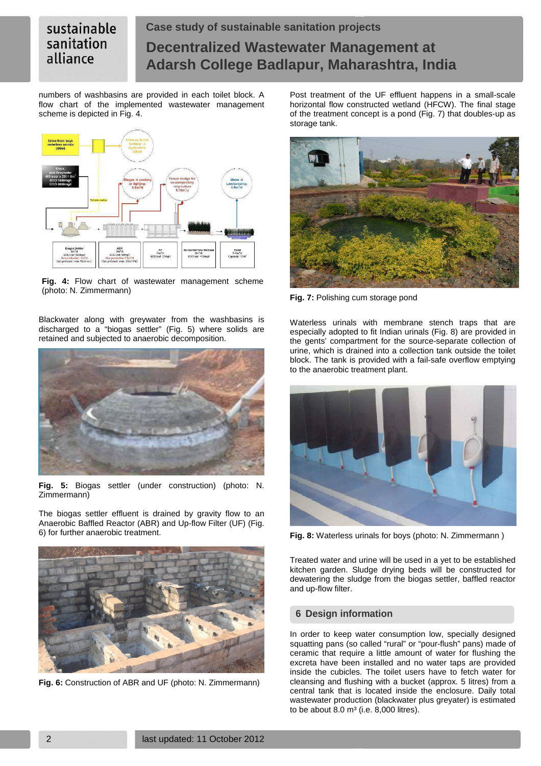# sustainable sanitation alliance

# **Case study of sustainable sanitation projects Decentralized Wastewater Management at Adarsh College Badlapur, Maharashtra, India**

numbers of washbasins are provided in each toilet block. A flow chart of the implemented wastewater management scheme is depicted in Fig. 4.



**Fig. 4:** Flow chart of wastewater management scheme (photo: N. Zimmermann)

Blackwater along with greywater from the washbasins is discharged to a "biogas settler" (Fig. 5) where solids are retained and subjected to anaerobic decomposition.



**Fig. 5:** Biogas settler (under construction) (photo: N. Zimmermann)

The biogas settler effluent is drained by gravity flow to an Anaerobic Baffled Reactor (ABR) and Up-flow Filter (UF) (Fig. 6) for further anaerobic treatment.



**Fig. 6:** Construction of ABR and UF (photo: N. Zimmermann)

Post treatment of the UF effluent happens in a small-scale horizontal flow constructed wetland (HFCW). The final stage of the treatment concept is a pond (Fig. 7) that doubles-up as storage tank.



**Fig. 7:** Polishing cum storage pond

Waterless urinals with membrane stench traps that are especially adopted to fit Indian urinals (Fig. 8) are provided in the gents' compartment for the source-separate collection of urine, which is drained into a collection tank outside the toilet block. The tank is provided with a fail-safe overflow emptying to the anaerobic treatment plant.



**Fig. 8:** Waterless urinals for boys (photo: N. Zimmermann )

Treated water and urine will be used in a yet to be established kitchen garden. Sludge drying beds will be constructed for dewatering the sludge from the biogas settler, baffled reactor and up-flow filter.

# **6 Design information**

In order to keep water consumption low, specially designed squatting pans (so called "rural" or "pour-flush" pans) made of ceramic that require a little amount of water for flushing the excreta have been installed and no water taps are provided inside the cubicles. The toilet users have to fetch water for cleansing and flushing with a bucket (approx. 5 litres) from a central tank that is located inside the enclosure. Daily total wastewater production (blackwater plus greyater) is estimated to be about  $8.0 \text{ m}^3$  (i.e.  $8,000$  litres).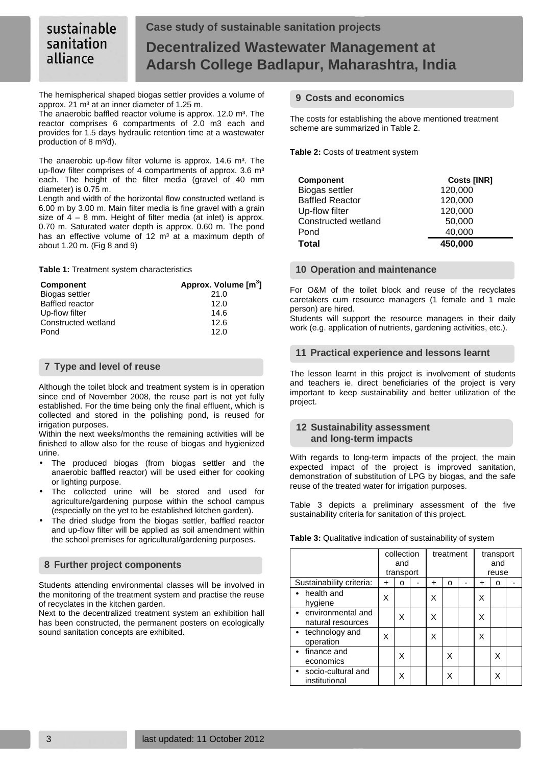## sustainable **Case study of sustainable sanitation projects**  sanitation **Decentralized Wastewater Management at Adarsh College Badlapur, Maharashtra, India**

The hemispherical shaped biogas settler provides a volume of approx. 21 m<sup>3</sup> at an inner diameter of 1.25 m.

The anaerobic baffled reactor volume is approx. 12.0 m<sup>3</sup>. The reactor comprises 6 compartments of 2.0 m3 each and provides for 1.5 days hydraulic retention time at a wastewater production of 8 m<sup>3</sup>/d).

The anaerobic up-flow filter volume is approx.  $14.6 \text{ m}^3$ . The up-flow filter comprises of 4 compartments of approx. 3.6 m<sup>3</sup> each. The height of the filter media (gravel of 40 mm diameter) is 0.75 m.

Length and width of the horizontal flow constructed wetland is 6.00 m by 3.00 m. Main filter media is fine gravel with a grain size of  $4 - 8$  mm. Height of filter media (at inlet) is approx. 0.70 m. Saturated water depth is approx. 0.60 m. The pond has an effective volume of 12  $m<sup>3</sup>$  at a maximum depth of about 1.20 m. (Fig 8 and 9)

**Table 1:** Treatment system characteristics

alliance

| <b>Component</b>       | Approx. Volume [m <sup>3</sup> ] |  |  |  |  |  |
|------------------------|----------------------------------|--|--|--|--|--|
| Biogas settler         | 21.0                             |  |  |  |  |  |
| <b>Baffled reactor</b> | 12.0                             |  |  |  |  |  |
| Up-flow filter         | 14.6                             |  |  |  |  |  |
| Constructed wetland    | 12.6                             |  |  |  |  |  |
| Pond                   | 12.0                             |  |  |  |  |  |

# **7 Type and level of reuse**

Although the toilet block and treatment system is in operation since end of November 2008, the reuse part is not yet fully established. For the time being only the final effluent, which is collected and stored in the polishing pond, is reused for irrigation purposes.

Within the next weeks/months the remaining activities will be finished to allow also for the reuse of biogas and hygienized urine.

- The produced biogas (from biogas settler and the anaerobic baffled reactor) will be used either for cooking or lighting purpose.
- The collected urine will be stored and used for agriculture/gardening purpose within the school campus (especially on the yet to be established kitchen garden).
- The dried sludge from the biogas settler, baffled reactor and up-flow filter will be applied as soil amendment within the school premises for agricultural/gardening purposes.

# **8 Further project components**

Students attending environmental classes will be involved in the monitoring of the treatment system and practise the reuse of recyclates in the kitchen garden.

Next to the decentralized treatment system an exhibition hall has been constructed, the permanent posters on ecologically sound sanitation concepts are exhibited.

## **9 Costs and economics**

The costs for establishing the above mentioned treatment scheme are summarized in Table 2.

**Table 2:** Costs of treatment system

| <b>Component</b>       | <b>Costs [INR]</b> |
|------------------------|--------------------|
| Biogas settler         | 120,000            |
| <b>Baffled Reactor</b> | 120,000            |
| Up-flow filter         | 120,000            |
| Constructed wetland    | 50,000             |
| Pond                   | 40,000             |
| Total                  | 450.000            |

## **10 Operation and maintenance**

For O&M of the toilet block and reuse of the recyclates caretakers cum resource managers (1 female and 1 male person) are hired.

Students will support the resource managers in their daily work (e.g. application of nutrients, gardening activities, etc.).

# **11 Practical experience and lessons learnt**

The lesson learnt in this project is involvement of students and teachers ie. direct beneficiaries of the project is very important to keep sustainability and better utilization of the project.

## **12 Sustainability assessment and long-term impacts**

With regards to long-term impacts of the project, the main expected impact of the project is improved sanitation, demonstration of substitution of LPG by biogas, and the safe reuse of the treated water for irrigation purposes.

Table 3 depicts a preliminary assessment of the five sustainability criteria for sanitation of this project.

| Table 3: Qualitative indication of sustainability of system |  |  |  |
|-------------------------------------------------------------|--|--|--|
|-------------------------------------------------------------|--|--|--|

|                                          | collection<br>and<br>transport |   | treatment |   |   | transport<br>and<br>reuse |   |   |  |
|------------------------------------------|--------------------------------|---|-----------|---|---|---------------------------|---|---|--|
| Sustainability criteria:                 | +                              | ი |           | + | ი |                           | + | ο |  |
| $\bullet$ health and<br>hygiene          | x                              |   |           | Χ |   |                           | Χ |   |  |
| • environmental and<br>natural resources |                                | X |           | Χ |   |                           | Χ |   |  |
| $\bullet$ technology and<br>operation    | X                              |   |           | Χ |   |                           | Χ |   |  |
| finance and<br>economics                 |                                | X |           |   | X |                           |   | X |  |
| • socio-cultural and<br>institutional    |                                | Χ |           |   | x |                           |   | Χ |  |